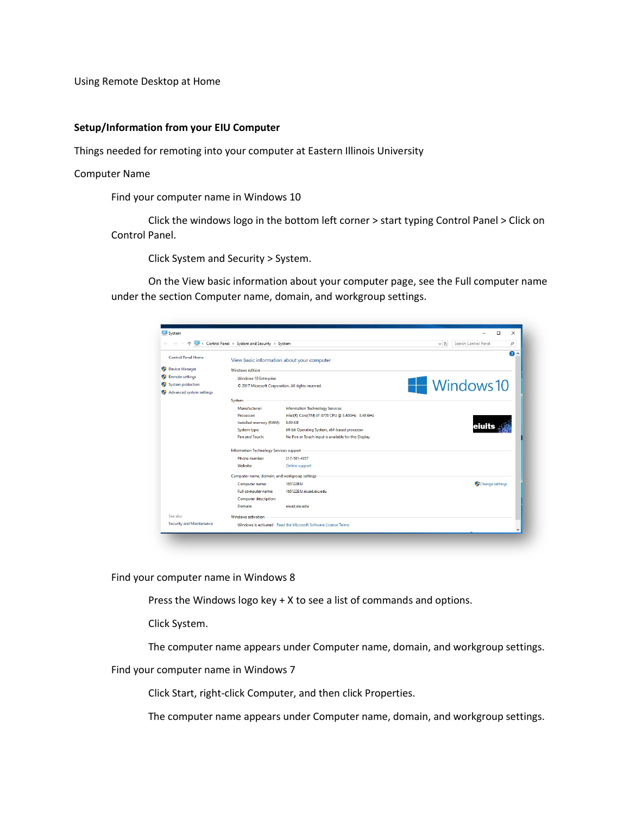Using Remote Desktop at Home

## **Setup/Information from your EIU Computer**

Things needed for remoting into your computer at Eastern Illinois University

Computer Name

Find your computer name in Windows 10

Click the windows logo in the bottom left corner > start typing Control Panel > Click on Control Panel.

Click System and Security > System.

On the View basic information about your computer page, see the Full computer name under the section Computer name, domain, and workgroup settings.

|                             | > Control Panel > System and Security > System     |                                                                | $\sim$ 0 | Search Control Panel<br>٩ |
|-----------------------------|----------------------------------------------------|----------------------------------------------------------------|----------|---------------------------|
| <b>Control Panel Home</b>   | View basic information about your computer         |                                                                |          | $\bullet$<br>٠            |
| <b>Device Manager</b><br>Φ  | Windows edition                                    |                                                                |          |                           |
| О<br><b>Remote settings</b> | Windows 10 Enterprise                              |                                                                |          |                           |
| System protection<br>О      | © 2017 Microsoft Corporation. All rights reserved. |                                                                |          | Windows 10                |
| Advanced system settings    |                                                    |                                                                |          |                           |
|                             | System                                             |                                                                |          |                           |
|                             | Manufacturer:                                      | <b>Information Technology Services</b>                         |          |                           |
|                             | <b>Processor:</b>                                  | Intel(R) Core(TM) i7-3770 CPU @ 3.40GHz 3.40 GHz               |          |                           |
|                             | Installed memory (RAM):                            | 8.00 GB                                                        |          |                           |
|                             | System type:                                       | 64-bit Operating System, x64-based processor                   |          |                           |
|                             | Pen and Touch:                                     | No Pen or Touch Input is available for this Display            |          |                           |
|                             | Information Technology Services support            |                                                                |          |                           |
|                             | Phone number:                                      | 217-581-4357                                                   |          |                           |
|                             | Website:                                           | Online support                                                 |          |                           |
|                             | Computer name, domain, and workgroup settings      |                                                                |          |                           |
|                             | Computer name:                                     | 165122FIU                                                      |          | Change settings           |
|                             | Full computer name:                                | 165122EIU.eiuad.eiu.edu                                        |          |                           |
|                             | Computer description:                              |                                                                |          |                           |
|                             | Domain:                                            | eiuad.eiu.edu                                                  |          |                           |
| See also                    | Windows activation                                 |                                                                |          |                           |
| Security and Maintenance    |                                                    | Windows is activated Read the Microsoft Software License Terms |          |                           |

Find your computer name in Windows 8

Press the Windows logo key + X to see a list of commands and options.

Click System.

The computer name appears under Computer name, domain, and workgroup settings.

Find your computer name in Windows 7

Click Start, right-click Computer, and then click Properties.

The computer name appears under Computer name, domain, and workgroup settings.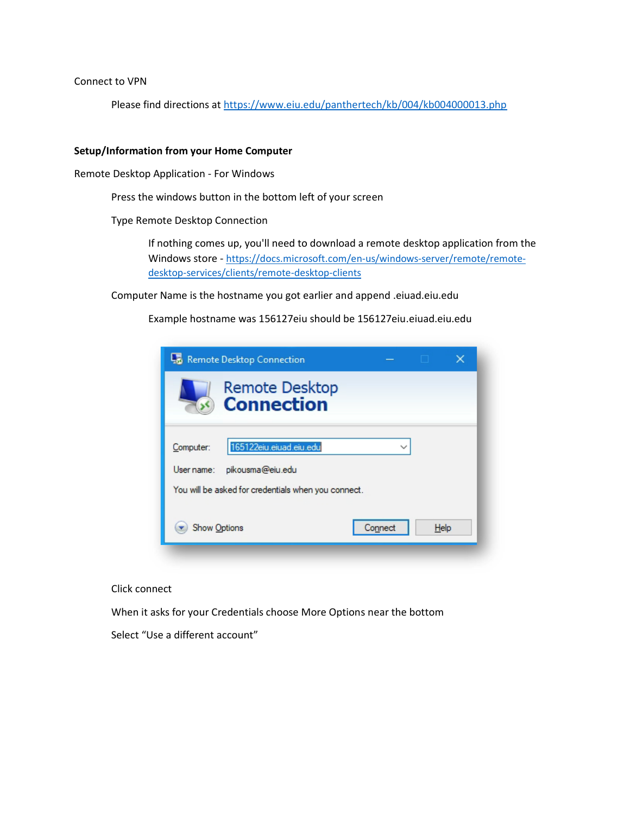Connect to VPN

Please find directions at<https://www.eiu.edu/panthertech/kb/004/kb004000013.php>

## **Setup/Information from your Home Computer**

Remote Desktop Application - For Windows

Press the windows button in the bottom left of your screen

Type Remote Desktop Connection

If nothing comes up, you'll need to download a remote desktop application from the Windows store - [https://docs.microsoft.com/en-us/windows-server/remote/remote](https://docs.microsoft.com/en-us/windows-server/remote/remote-desktop-services/clients/remote-desktop-clients)[desktop-services/clients/remote-desktop-clients](https://docs.microsoft.com/en-us/windows-server/remote/remote-desktop-services/clients/remote-desktop-clients)

Computer Name is the hostname you got earlier and append .eiuad.eiu.edu

Example hostname was 156127eiu should be 156127eiu.eiuad.eiu.edu

| Remote Desktop Connection                                                                                                     |      | × |
|-------------------------------------------------------------------------------------------------------------------------------|------|---|
| <b>Remote Desktop</b><br><b>Connection</b>                                                                                    |      |   |
| 165122eiu.eiuad.eiu.edu<br>Computer:<br>pikousma@eiu.edu<br>User name:<br>You will be asked for credentials when you connect. |      |   |
| <b>Show Options</b><br>Connect                                                                                                | Help |   |

## Click connect

When it asks for your Credentials choose More Options near the bottom

Select "Use a different account"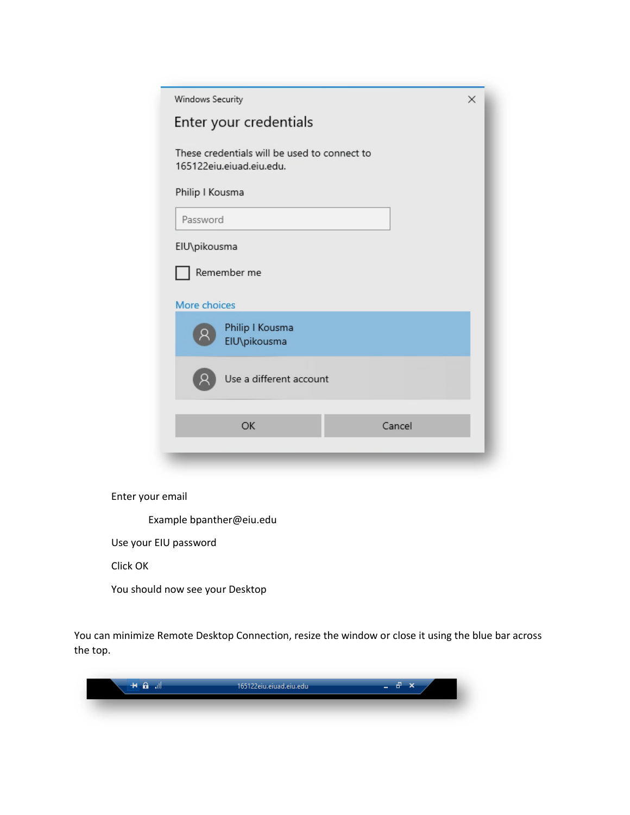| Windows Security<br>$\times$                                                                |  |  |  |  |
|---------------------------------------------------------------------------------------------|--|--|--|--|
| Enter your credentials                                                                      |  |  |  |  |
| These credentials will be used to connect to<br>165122eiu.eiuad.eiu.edu.<br>Philip I Kousma |  |  |  |  |
| Password                                                                                    |  |  |  |  |
| EIU\pikousma<br>Remember me<br>More choices                                                 |  |  |  |  |
| Philip I Kousma<br>EIU\pikousma                                                             |  |  |  |  |
| Use a different account                                                                     |  |  |  |  |
| Cancel<br>OK                                                                                |  |  |  |  |

Enter your email

Example bpanther@eiu.edu

Use your EIU password

Click OK

You should now see your Desktop

You can minimize Remote Desktop Connection, resize the window or close it using the blue bar across the top.

| п<br>-88 | 165122eiu.eiuad.eiu.edu | s.<br>л |
|----------|-------------------------|---------|
|          |                         |         |
|          |                         |         |